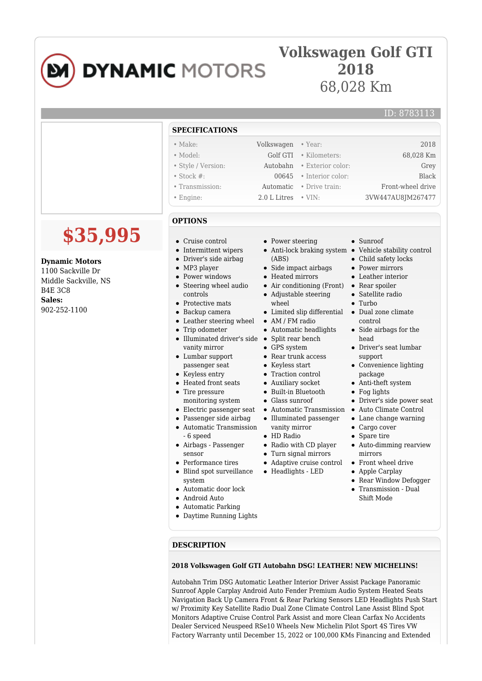# **DYNAMIC MOTORS**

## **Volkswagen Golf GTI 2018** 68,028 Km

### ID: 8783113

|                                                                                                                | <b>SPECIFICATIONS</b>                                                                                                                                                                                                                                                                                                                                                                                                                                                                                                                                                                                                                                                                                            |                                                                                                                                                                                                                                                                                                                                                                                                                                                                                                                                                             |                                                                                                                                                                                                                                                                                                                                                                                                                                                                                                                                                                                                                                   |
|----------------------------------------------------------------------------------------------------------------|------------------------------------------------------------------------------------------------------------------------------------------------------------------------------------------------------------------------------------------------------------------------------------------------------------------------------------------------------------------------------------------------------------------------------------------------------------------------------------------------------------------------------------------------------------------------------------------------------------------------------------------------------------------------------------------------------------------|-------------------------------------------------------------------------------------------------------------------------------------------------------------------------------------------------------------------------------------------------------------------------------------------------------------------------------------------------------------------------------------------------------------------------------------------------------------------------------------------------------------------------------------------------------------|-----------------------------------------------------------------------------------------------------------------------------------------------------------------------------------------------------------------------------------------------------------------------------------------------------------------------------------------------------------------------------------------------------------------------------------------------------------------------------------------------------------------------------------------------------------------------------------------------------------------------------------|
|                                                                                                                | $\bullet$ Make:<br>• Model:<br>• Style / Version:<br>$\bullet$ Stock #:<br>• Transmission:<br>$\bullet$ Engine:                                                                                                                                                                                                                                                                                                                                                                                                                                                                                                                                                                                                  | Volkswagen<br>• Year:<br>Golf GTI<br>· Kilometers:<br>Autobahn<br>• Exterior color:<br>00645<br>• Interior color:<br>Automatic<br>• Drive train:<br>$\cdot$ VIN:<br>2.0 L Litres                                                                                                                                                                                                                                                                                                                                                                            | 2018<br>68,028 Km<br>Grey<br><b>Black</b><br>Front-wheel drive<br>3VW447AU8JM267477                                                                                                                                                                                                                                                                                                                                                                                                                                                                                                                                               |
| \$35,995                                                                                                       | <b>OPTIONS</b><br>Cruise control<br>Intermittent wipers<br>$\bullet$                                                                                                                                                                                                                                                                                                                                                                                                                                                                                                                                                                                                                                             | • Power steering<br>• Anti-lock braking system • Vehicle stability control                                                                                                                                                                                                                                                                                                                                                                                                                                                                                  | • Sunroof                                                                                                                                                                                                                                                                                                                                                                                                                                                                                                                                                                                                                         |
| <b>Dynamic Motors</b><br>1100 Sackville Dr<br>Middle Sackville, NS<br><b>B4E 3C8</b><br>Sales:<br>902-252-1100 | • Driver's side airbag<br>• MP3 player<br>• Power windows<br>Steering wheel audio<br>$\bullet$<br>controls<br>• Protective mats<br>$\bullet$ Backup camera<br>• Leather steering wheel<br>• Trip odometer<br>• Illuminated driver's side • Split rear bench<br>vanity mirror<br>• Lumbar support<br>passenger seat<br>• Keyless entry<br>• Heated front seats<br>• Tire pressure<br>monitoring system<br>• Electric passenger seat<br>• Passenger side airbag<br>• Automatic Transmission<br>- 6 speed<br>• Airbags - Passenger<br>sensor<br>• Performance tires<br>• Blind spot surveillance<br>system<br>• Automatic door lock<br>Android Auto<br>$\bullet$<br>• Automatic Parking<br>• Daytime Running Lights | (ABS)<br>• Side impact airbags<br>• Heated mirrors<br>• Air conditioning (Front)<br>• Adjustable steering<br>wheel<br>• Limited slip differential<br>• AM / FM radio<br>• Automatic headlights<br>• GPS system<br>$\bullet$ Rear trunk access<br>• Keyless start<br>• Traction control<br>• Auxiliary socket<br>· Built-in Bluetooth<br>$\bullet$ Glass sunroof<br>• Automatic Transmission<br>• Illuminated passenger<br>vanity mirror<br>• HD Radio<br>• Radio with CD player<br>• Turn signal mirrors<br>• Adaptive cruise control<br>• Headlights - LED | • Child safety locks<br>• Power mirrors<br>• Leather interior<br>• Rear spoiler<br>• Satellite radio<br>$\bullet$ Turbo<br>• Dual zone climate<br>control<br>$\bullet~$ Side airbags for the<br>head<br>• Driver's seat lumbar<br>support<br>• Convenience lighting<br>package<br>• Anti-theft system<br>$\bullet$ Fog lights<br>$\bullet~$ Driver's side power seat<br>• Auto Climate Control<br>$\bullet$ Lane change warning<br>$\bullet$ Cargo cover<br>• Spare tire<br>$\bullet$ Auto-dimming rearview<br>mirrors<br>• Front wheel drive<br>• Apple Carplay<br>• Rear Window Defogger<br>• Transmission - Dual<br>Shift Mode |

#### **DESCRIPTION**

#### **2018 Volkswagen Golf GTI Autobahn DSG! LEATHER! NEW MICHELINS!**

Autobahn Trim DSG Automatic Leather Interior Driver Assist Package Panoramic Sunroof Apple Carplay Android Auto Fender Premium Audio System Heated Seats Navigation Back Up Camera Front & Rear Parking Sensors LED Headlights Push Start w/ Proximity Key Satellite Radio Dual Zone Climate Control Lane Assist Blind Spot Monitors Adaptive Cruise Control Park Assist and more Clean Carfax No Accidents Dealer Serviced Neuspeed RSe10 Wheels New Michelin Pilot Sport 4S Tires VW Factory Warranty until December 15, 2022 or 100,000 KMs Financing and Extended